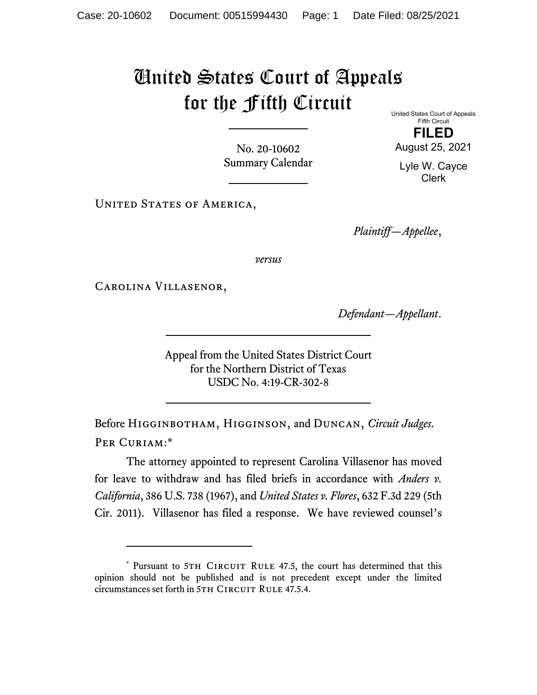## United States Court of Appeals for the Fifth Circuit

No. 20-10602 Summary Calendar United States Court of Appeals Fifth Circuit **FILED**  August 25, 2021

Lyle W. Cayce Clerk

UNITED STATES OF AMERICA,

*Plaintiff—Appellee*,

*versus*

Carolina Villasenor,

*Defendant—Appellant*.

Appeal from the United States District Court for the Northern District of Texas USDC No. 4:19-CR-302-8

Before Higginbotham, Higginson, and Duncan, *Circuit Judges*. Per Curiam:\*

The attorney appointed to represent Carolina Villasenor has moved for leave to withdraw and has filed briefs in accordance with *Anders v. California*, 386 U.S. 738 (1967), and *United States v. Flores*, 632 F.3d 229 (5th Cir. 2011). Villasenor has filed a response. We have reviewed counsel's

<sup>\*</sup> Pursuant to 5TH CIRCUIT RULE 47.5, the court has determined that this opinion should not be published and is not precedent except under the limited circumstances set forth in 5TH CIRCUIT RULE 47.5.4.